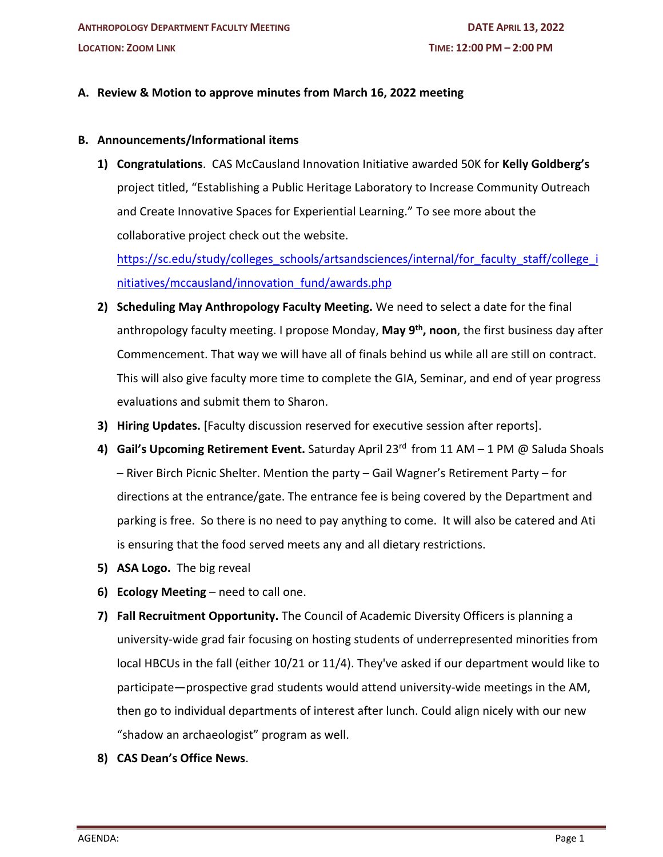## **A. Review & Motion to approve minutes from March 16, 2022 meeting**

## **B. Announcements/Informational items**

**1) Congratulations**. CAS McCausland Innovation Initiative awarded 50K for **Kelly Goldberg's** project titled, "Establishing a Public Heritage Laboratory to Increase Community Outreach and Create Innovative Spaces for Experiential Learning." To see more about the collaborative project check out the website.

https://sc.edu/study/colleges\_schools/artsandsciences/internal/for\_faculty\_staff/college\_i nitiatives/mccausland/innovation\_fund/awards.php

- **2) Scheduling May Anthropology Faculty Meeting.** We need to select a date for the final anthropology faculty meeting. I propose Monday, **May 9th, noon**, the first business day after Commencement. That way we will have all of finals behind us while all are still on contract. This will also give faculty more time to complete the GIA, Seminar, and end of year progress evaluations and submit them to Sharon.
- **3) Hiring Updates.** [Faculty discussion reserved for executive session after reports].
- **4) Gail's Upcoming Retirement Event.** Saturday April 23rd from 11 AM 1 PM @ Saluda Shoals – River Birch Picnic Shelter. Mention the party – Gail Wagner's Retirement Party – for directions at the entrance/gate. The entrance fee is being covered by the Department and parking is free. So there is no need to pay anything to come. It will also be catered and Ati is ensuring that the food served meets any and all dietary restrictions.
- **5) ASA Logo.** The big reveal
- **6) Ecology Meeting** need to call one.
- **7) Fall Recruitment Opportunity.** The Council of Academic Diversity Officers is planning a university-wide grad fair focusing on hosting students of underrepresented minorities from local HBCUs in the fall (either 10/21 or 11/4). They've asked if our department would like to participate—prospective grad students would attend university-wide meetings in the AM, then go to individual departments of interest after lunch. Could align nicely with our new "shadow an archaeologist" program as well.
- **8) CAS Dean's Office News**.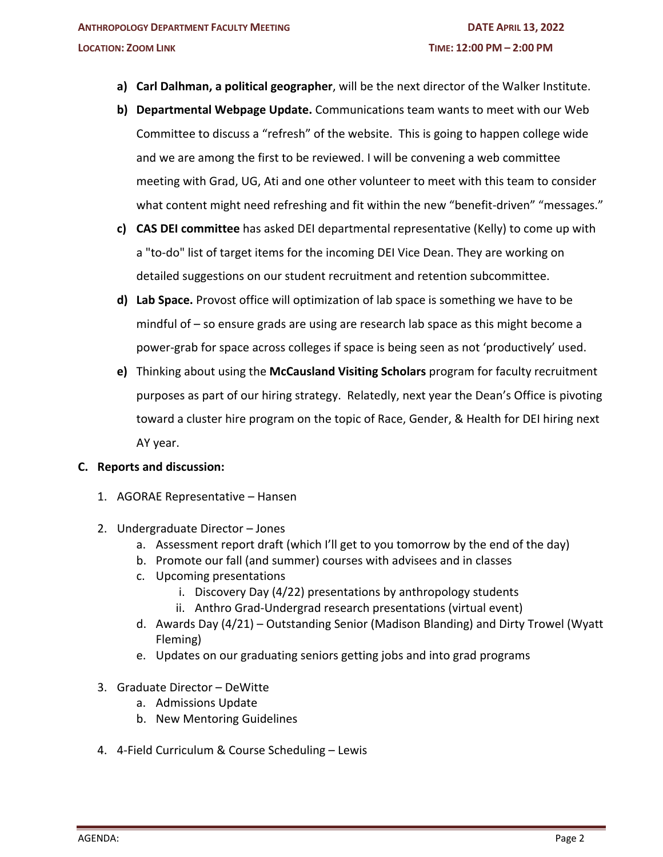- **a) Carl Dalhman, a political geographer**, will be the next director of the Walker Institute.
- **b) Departmental Webpage Update.** Communications team wants to meet with our Web Committee to discuss a "refresh" of the website. This is going to happen college wide and we are among the first to be reviewed. I will be convening a web committee meeting with Grad, UG, Ati and one other volunteer to meet with this team to consider what content might need refreshing and fit within the new "benefit-driven" "messages."
- **c) CAS DEI committee** has asked DEI departmental representative (Kelly) to come up with a "to-do" list of target items for the incoming DEI Vice Dean. They are working on detailed suggestions on our student recruitment and retention subcommittee.
- **d) Lab Space.** Provost office will optimization of lab space is something we have to be mindful of – so ensure grads are using are research lab space as this might become a power-grab for space across colleges if space is being seen as not 'productively' used.
- **e)** Thinking about using the **McCausland Visiting Scholars** program for faculty recruitment purposes as part of our hiring strategy. Relatedly, next year the Dean's Office is pivoting toward a cluster hire program on the topic of Race, Gender, & Health for DEI hiring next AY year.

## **C. Reports and discussion:**

- 1. AGORAE Representative Hansen
- 2. Undergraduate Director Jones
	- a. Assessment report draft (which I'll get to you tomorrow by the end of the day)
	- b. Promote our fall (and summer) courses with advisees and in classes
	- c. Upcoming presentations
		- i. Discovery Day (4/22) presentations by anthropology students
		- ii. Anthro Grad-Undergrad research presentations (virtual event)
	- d. Awards Day (4/21) Outstanding Senior (Madison Blanding) and Dirty Trowel (Wyatt Fleming)
	- e. Updates on our graduating seniors getting jobs and into grad programs
- 3. Graduate Director DeWitte
	- a. Admissions Update
	- b. New Mentoring Guidelines
- 4. 4-Field Curriculum & Course Scheduling Lewis